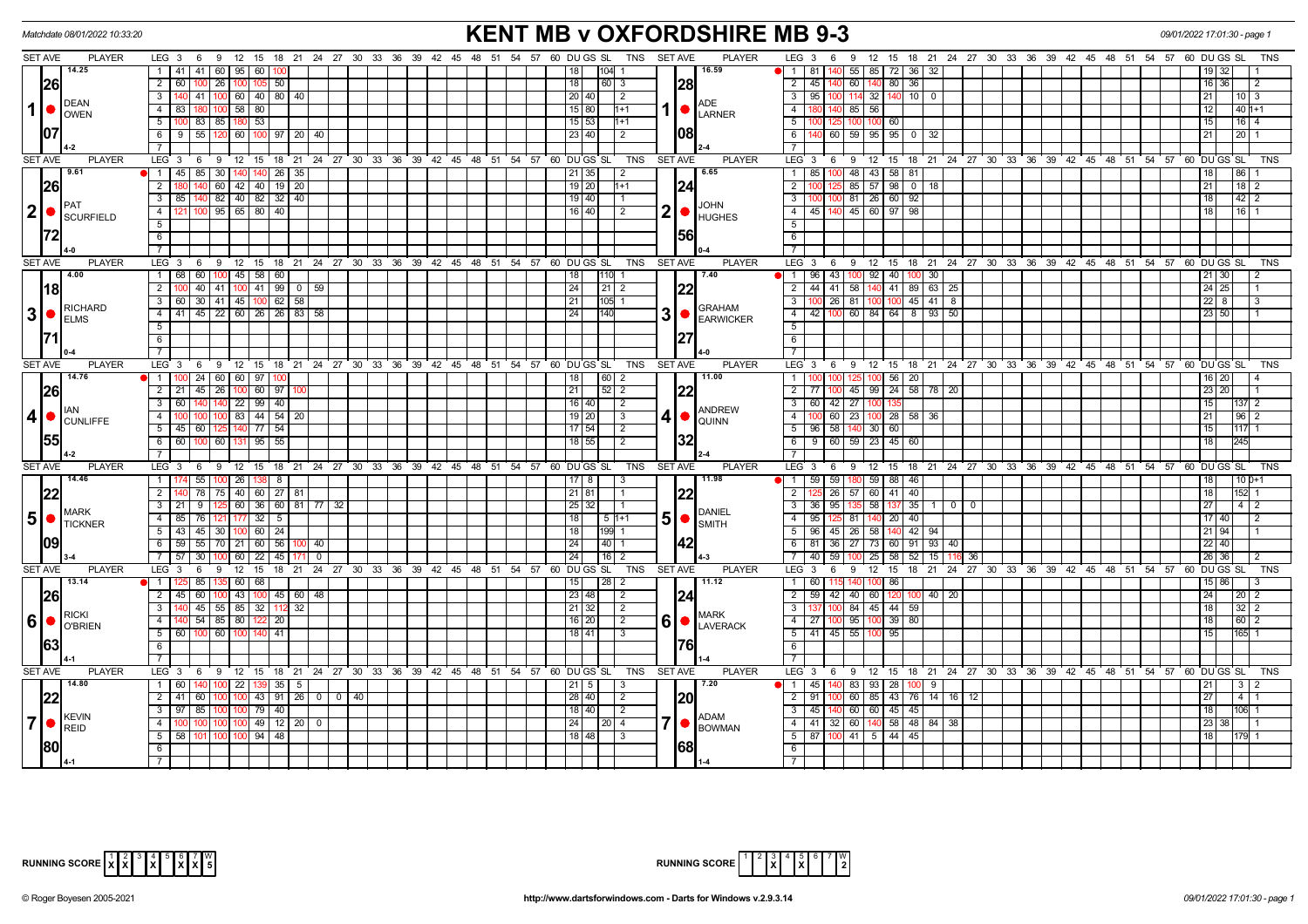|                | Matchdate 08/01/2022 10:33:20               |                                                                                    |                                                              |              |              |  |                                     |  |  |                                                              |                                                          |                |                                                                                     | <b>KENT MB v OXFORDSHIRE MB 9-3</b>                                                                      | 09/01/2022 17:01:30 - page 1                                                                                             |  |
|----------------|---------------------------------------------|------------------------------------------------------------------------------------|--------------------------------------------------------------|--------------|--------------|--|-------------------------------------|--|--|--------------------------------------------------------------|----------------------------------------------------------|----------------|-------------------------------------------------------------------------------------|----------------------------------------------------------------------------------------------------------|--------------------------------------------------------------------------------------------------------------------------|--|
| <b>SET AVE</b> | <b>PLAYER</b>                               | LEG 3 6 9 12 15 18 21 24 27 30 33 36 39 42 45 48 51 54 57 60 DUGS SL TNS SETAVE    |                                                              |              |              |  |                                     |  |  |                                                              |                                                          |                |                                                                                     | <b>PLAYER</b>                                                                                            | LEG 3<br>6 9 12 15 18 21 24 27 30 33 36 39 42 45 48 51 54 57 60 DU GS SL<br>TNS                                          |  |
|                | 14.25                                       | 1   41   41   60   95   60                                                         |                                                              |              |              |  |                                     |  |  | 18                                                           | 104 1                                                    |                |                                                                                     | 16.59                                                                                                    | 55 85 72 36<br>1 81<br>32                                                                                                |  |
| <b>26</b>      |                                             | 2 60 <br>$100$ 26 $100$                                                            | 105                                                          | 50           |              |  |                                     |  |  | 18                                                           | $60$   3                                                 |                | 28                                                                                  |                                                                                                          | $\overline{2}$<br>$-45$<br>60<br>140 80 36<br>16 36<br>$\overline{2}$                                                    |  |
|                |                                             | 140   41   100   60   40   80   40<br>$3^{\circ}$                                  |                                                              |              |              |  |                                     |  |  | 20 40                                                        | $\overline{2}$                                           |                | <b>ADE</b><br>1   ●<br><b>LARNER</b>                                                |                                                                                                          | 100 114 32<br>3   95  <br>140 10<br>21<br>$10$   3<br>$^{\circ}$                                                         |  |
| $\mathbf{1}$   | <b>DEAN</b><br><b>OWEN</b>                  | $\overline{4}$<br>l 83.                                                            | $100$ 58 80                                                  |              |              |  |                                     |  |  | 15 80                                                        | $1 + 1$                                                  |                |                                                                                     |                                                                                                          | 140 85 56<br>$1401+1$<br>4<br>12 <sub>1</sub>                                                                            |  |
|                |                                             | 100 83 85 180 53<br>5                                                              |                                                              |              |              |  |                                     |  |  | 15 53                                                        | $11 + 1$                                                 |                |                                                                                     |                                                                                                          | 5 <sup>5</sup><br> 16 4<br>15 <sup>1</sup><br>100<br>100<br>60                                                           |  |
| 107            |                                             | 6 9 55 120 60 100 97 20 40                                                         |                                                              |              |              |  |                                     |  |  | 231401                                                       | $\overline{2}$                                           |                | 08                                                                                  |                                                                                                          | 6<br>60 59 95 95 0 32<br>$120$ 1<br>21                                                                                   |  |
|                |                                             |                                                                                    |                                                              |              |              |  |                                     |  |  |                                                              |                                                          |                |                                                                                     |                                                                                                          | $\overline{7}$                                                                                                           |  |
| <b>SET AVE</b> | <b>PLAYER</b>                               | LEG <sup>3</sup><br>6 9 12 15 18 21 24 27 30 33 36 39 42 45 48 51 54 57 60 DUGS SL |                                                              |              |              |  |                                     |  |  |                                                              | TNS                                                      | <b>SET AVE</b> |                                                                                     | <b>PLAYER</b>                                                                                            | LEG 3<br>6 9 12 15 18 21 24 27 30 33 36 39 42 45 48 51 54 57 60 DUGS SL<br><b>TNS</b>                                    |  |
|                | 9.61                                        | 1   45   85   30   140   140   26   35                                             |                                                              |              |              |  |                                     |  |  | 21 35                                                        | 12                                                       |                |                                                                                     | 6.65                                                                                                     | 1 85 100 48 43 58 81<br>86<br>18                                                                                         |  |
| 26             |                                             | $\overline{2}$                                                                     | 60 42 40 19 20                                               |              |              |  |                                     |  |  | $19$ 20                                                      | $1 + 1$                                                  |                | 24                                                                                  |                                                                                                          | 85<br>$57$ 98 0 18<br>$\overline{2}$<br>21<br>$18$ 2                                                                     |  |
|                |                                             | $3 \mid 85$                                                                        | 82 40 82 32 40                                               |              |              |  |                                     |  |  | $19$ 40                                                      | 11                                                       |                |                                                                                     |                                                                                                          | 100 81 26 60 92<br> 42 2<br>$3 - 100$<br>18 I                                                                            |  |
| $ 2  \bullet$  | <b>PAT</b>                                  | $100$ 95 65 80 40<br>$\overline{4}$                                                |                                                              |              |              |  |                                     |  |  | $16$   40                                                    | $\overline{2}$                                           |                |                                                                                     | <b>JOHN</b>                                                                                              | 4 4 45 140 45 60 97 98<br>$116$ 1<br>18 I                                                                                |  |
|                | <b>SCURFIELD</b>                            | 5                                                                                  |                                                              |              |              |  |                                     |  |  |                                                              |                                                          |                | $2$ $\bullet$ $\beta$ $\beta$ $\beta$ $\beta$ $\beta$ $\beta$ $\beta$<br><b>156</b> |                                                                                                          | 5                                                                                                                        |  |
|                |                                             | 6                                                                                  |                                                              |              |              |  |                                     |  |  |                                                              |                                                          |                |                                                                                     |                                                                                                          | 6                                                                                                                        |  |
|                |                                             |                                                                                    |                                                              |              |              |  |                                     |  |  |                                                              |                                                          |                |                                                                                     |                                                                                                          | $\overline{7}$                                                                                                           |  |
| <b>SET AVE</b> | <b>PLAYER</b>                               | LEG <sub>3</sub><br>6                                                              |                                                              |              |              |  |                                     |  |  | 9 12 15 18 21 24 27 30 33 36 39 42 45 48 51 54 57 60 DUGS SL | TNS                                                      | <b>SET AVE</b> |                                                                                     | <b>PLAYER</b>                                                                                            | LEG <sup>3</sup><br>6 <sup>9</sup><br>12 15 18 21 24 27 30 33 36 39 42 45 48 51 54 57 60 DUGS SL<br><b>TNS</b>           |  |
|                | 4.00                                        | 60<br>$\overline{1}$<br>68                                                         | $100$ 45 58 60                                               |              |              |  |                                     |  |  | 18                                                           | $110$ 1                                                  |                |                                                                                     | 7.40                                                                                                     | 43 100 92<br>40 100<br>30<br>$1 \overline{96}$<br>$21$ 30                                                                |  |
| <u> 18</u>     |                                             | 40 41 100 41 99 0 59<br>$\overline{2}$                                             |                                                              |              |              |  |                                     |  |  | $\sqrt{24}$                                                  | $21$ 2                                                   |                | 22                                                                                  |                                                                                                          | $2 \mid 44 \mid$<br>$41$ 58<br>140 41 89 63 25<br>24 25                                                                  |  |
|                |                                             | 60   30   41   45   100   62   58<br>3                                             |                                                              |              |              |  |                                     |  |  | 21                                                           | $105$ 1                                                  |                | <b>GRAHAM</b><br>$3$ $\bullet$ $\epsilon$ EARWICKER                                 | 3 <sup>1</sup><br>$26$ 81 100 100 45 41 8<br>$22 \mid 8$                                                 |                                                                                                                          |  |
|                | <b>RICHARD</b><br>$3 \cdot \frac{B}{E LMS}$ | 41 45 22 60 26 26 83<br>$\overline{4}$                                             |                                                              |              | 58           |  |                                     |  |  | 24<br>140                                                    |                                                          |                |                                                                                     |                                                                                                          | 4<br>42<br>100 60 84 64 8 93<br>50<br>23 50                                                                              |  |
|                |                                             | 5                                                                                  |                                                              |              |              |  |                                     |  |  |                                                              |                                                          |                |                                                                                     |                                                                                                          | 5                                                                                                                        |  |
|                |                                             | 6                                                                                  |                                                              |              |              |  |                                     |  |  |                                                              |                                                          |                | 27                                                                                  |                                                                                                          | 6                                                                                                                        |  |
|                |                                             |                                                                                    |                                                              |              |              |  |                                     |  |  |                                                              |                                                          |                |                                                                                     |                                                                                                          | $7\phantom{0}$                                                                                                           |  |
| <b>SET AVE</b> | <b>PLAYER</b>                               | LEG <sub>3</sub><br>6 9 12 15 18 21 24 27 30 33 36 39 42 45 48 51 54 57 60 DUGS SL |                                                              |              |              |  |                                     |  |  |                                                              | TNS                                                      | <b>SET AVE</b> |                                                                                     | <b>PLAYER</b>                                                                                            | $LEG_3$<br>6 9 12 15 18 21 24 27 30 33 36 39 42 45 48 51 54 57 60 DUGS SL<br><b>TNS</b>                                  |  |
|                | 14.76                                       | $\blacksquare$<br>24 60 60 97                                                      |                                                              |              |              |  |                                     |  |  | 18                                                           | 60 2                                                     |                |                                                                                     | 11.00                                                                                                    | 1<br>56 20<br>100<br>16 20                                                                                               |  |
|                | <b>26</b>                                   | 2 21 45 26 100 60 97                                                               |                                                              |              |              |  |                                     |  |  | 21                                                           | $52 \mid 2$                                              |                | 22                                                                                  |                                                                                                          | $2 \mid 77$<br>100 45<br>99 24 58<br>78 20<br>23   20                                                                    |  |
|                |                                             | $\overline{\mathbf{3}}$<br>l 60                                                    | 140 22                                                       | $99 \mid 40$ |              |  |                                     |  |  | 16 40                                                        | $\sqrt{2}$                                               |                |                                                                                     |                                                                                                          | $3 \mid 60$<br>42 27<br>100<br>15 <sub>l</sub><br>1371                                                                   |  |
| 4              | AN                                          | $\overline{4}$                                                                     | $100$ 83 44 54 20                                            |              |              |  |                                     |  |  | $19$   20                                                    | $\sqrt{3}$                                               | 41             | $\bullet$                                                                           | <b>ANDREW</b>                                                                                            | $4 \mid 100 \mid 60 \mid 23 \mid 100 \mid 28 \mid 58 \mid$<br>21<br> 96 2<br>36                                          |  |
|                | <b>CUNLIFFE</b>                             | 5   45   60                                                                        | 125 140 77 54                                                |              |              |  |                                     |  |  | 17 54                                                        | $\overline{2}$                                           |                |                                                                                     | <b>QUINN</b>                                                                                             | 5 96 58 140 30 60<br> 117  1<br>15 I                                                                                     |  |
| 55             |                                             | 6   60                                                                             | 100 60 131 95 55                                             |              |              |  |                                     |  |  | $18$ 55                                                      | 12                                                       |                | 32                                                                                  |                                                                                                          | 6 9 60 59 23 45 60<br>18<br>245                                                                                          |  |
|                |                                             |                                                                                    |                                                              |              |              |  |                                     |  |  |                                                              |                                                          |                |                                                                                     |                                                                                                          | $\overline{7}$                                                                                                           |  |
| <b>SET AVE</b> | <b>PLAYER</b>                               | $LEG_3$<br>6<br>- 9                                                                | $12 \quad 15$                                                |              |              |  | 18 21 24 27 30 33 36 39 42 45 48 51 |  |  | 54 57 60 DU GS SL                                            | <b>TNS</b>                                               | <b>SET AVE</b> |                                                                                     | <b>PLAYER</b>                                                                                            | LEG <sub>3</sub><br>6 <sup>6</sup><br>12 15 18 21 24 27 30 33 36 39<br>42 45 48 51 54 57 60 DUGS SL<br><b>TNS</b><br>- 9 |  |
|                | 14.46                                       | 1   174   55   100   26   138   8                                                  |                                                              |              |              |  |                                     |  |  | 17   8                                                       | $\vert$ 3                                                |                |                                                                                     | 11.98                                                                                                    | 1 59 59 180 59 88 46<br>$110D+1$<br>18 I                                                                                 |  |
| 22             |                                             | $\overline{2}$<br>78                                                               | 75 40 60 27 81                                               |              |              |  |                                     |  |  | 21 81                                                        | $\vert$ 1                                                |                | 22<br>DANIEL<br>$50$ $\frac{100}{5}$ $\frac{100}{100}$<br>42                        |                                                                                                          | 26 57 60 41 40<br>$\overline{2}$<br>18<br>152                                                                            |  |
|                |                                             | $3 \mid 21 \mid$<br>$-9$                                                           |                                                              |              |              |  |                                     |  |  | 25 32                                                        | $\overline{1}$                                           |                |                                                                                     |                                                                                                          | 58 137 35<br>3 36 95 135<br>27<br>100                                                                                    |  |
| 5 <sup>1</sup> | <b>MARK</b><br>$\blacksquare$ TICKNER       | 4 85 76                                                                            | $121$ 177 32 5                                               |              |              |  |                                     |  |  | 18                                                           | $5 1+1$                                                  |                |                                                                                     |                                                                                                          | 4 95 125 81 140 20 40<br>17140<br>$\frac{12}{2}$                                                                         |  |
|                |                                             | 5 43 45 30 100 60 24                                                               |                                                              |              |              |  |                                     |  |  | 18                                                           | 199 1                                                    |                |                                                                                     |                                                                                                          | 5   96   45   26   58   140   42  <br>94<br>21   94                                                                      |  |
| 109            |                                             | 55   70   21   60   56   100<br>59                                                 |                                                              |              | 40           |  |                                     |  |  | 24                                                           | $40$ 1                                                   |                |                                                                                     |                                                                                                          | $6 \ 31 \ 36 \ 27 \ 73 \ 60 \ 91 \ 93 \ 40$<br>$22$ 40                                                                   |  |
|                |                                             | 7   57<br>30                                                                       | -60 I<br>$\sqrt{22}$                                         | 45   17      | $\mathbf{0}$ |  |                                     |  |  | $\sqrt{24}$                                                  | $16$   2                                                 |                |                                                                                     |                                                                                                          | $7 \overline{40}$<br>59 100 25<br>$58$ 52<br>$26 \mid 36$<br>15 116 36                                                   |  |
| SET AVE        | <b>PLAYER</b>                               | LEG <sup>3</sup><br>6<br>9                                                         | $12^{\circ}$<br>15                                           |              |              |  |                                     |  |  |                                                              | 18 21 24 27 30 33 36 39 42 45 48 51 54 57 60 DUGS SL TNS | <b>SET AVE</b> |                                                                                     | <b>PLAYER</b>                                                                                            | LEG <sup>3</sup><br>6<br><b>9</b><br>$12 \quad 15$<br>18 21 24 27 30 33 36 39 42 45 48 51 54 57 60 DUGS SL<br><b>TNS</b> |  |
|                | 13.14                                       | 85<br>$\blacksquare$                                                               | 60 68                                                        |              |              |  |                                     |  |  | 15                                                           |                                                          |                |                                                                                     | 11.12                                                                                                    | $1 \overline{60}$<br>100<br>86<br>15 86 <br>3                                                                            |  |
| 26             |                                             | 60<br>2   45                                                                       | $143$ 100 45 60 48                                           |              |              |  |                                     |  |  | 23 48                                                        | $\vert$ 2                                                |                | 24                                                                                  |                                                                                                          | $2 \mid 59$<br>42 40 60<br>120 100 40 20<br>241<br> 20 2                                                                 |  |
|                | <b>RICKI</b>                                | 45   55   85   32   112   32  <br>$3 \mid 140$                                     |                                                              |              |              |  |                                     |  |  | 21 32                                                        | $\overline{2}$                                           |                |                                                                                     |                                                                                                          | $3 - 137$<br>100 84 45 44 59<br> 32 2<br>18                                                                              |  |
| 6 <sup>1</sup> | O O'BRIEN                                   | $\overline{4}$<br>$54$ 85 80                                                       |                                                              | 20           |              |  |                                     |  |  | $16$ 20                                                      | $\overline{2}$                                           |                |                                                                                     | $\mathbf{6}$ $\bullet$ $\mathbf{L}$ $\bullet$ $\mathbf{L}$ $\bullet$ $\mathbf{L}$ $\bullet$ $\mathbf{L}$ | 4 27 100 95 100 39 80<br>$\left  \frac{60}{2} \right $<br>18 I                                                           |  |
|                |                                             | 60 100<br>5<br>60<br>100                                                           |                                                              | 41           |              |  |                                     |  |  | 18 41                                                        | l 3                                                      |                |                                                                                     |                                                                                                          | $5$ 41 45 55<br>95<br>1001<br>15 <sub>l</sub><br>165                                                                     |  |
| 1631           |                                             | 6                                                                                  |                                                              |              |              |  |                                     |  |  |                                                              |                                                          |                | <b>76</b>                                                                           |                                                                                                          | 6                                                                                                                        |  |
|                |                                             |                                                                                    |                                                              |              |              |  |                                     |  |  |                                                              |                                                          |                |                                                                                     |                                                                                                          | $\overline{7}$                                                                                                           |  |
| <b>SET AVE</b> | <b>PLAYER</b>                               | LEG 3 6 9 12 15 18 21 24 27 30 33 36 39 42 45 48 51 54 57 60 DUGS SL               |                                                              |              |              |  |                                     |  |  |                                                              | TNS SET AVE                                              |                |                                                                                     | <b>PLAYER</b>                                                                                            | LEG 3 6 9 12 15 18 21 24 27 30 33 36 39 42 45 48 51 54 57 60 DUGS SL<br><b>TNS</b>                                       |  |
|                | 14.80                                       | 1 60                                                                               | -22                                                          | $35 \mid 5$  |              |  |                                     |  |  | -5                                                           | $\overline{3}$                                           |                |                                                                                     | 7.20                                                                                                     | $1 \quad 45$<br>140 83<br>93<br>28 100<br> 3 <br>9<br>21                                                                 |  |
| 22             |                                             | 2   41   60                                                                        | $100 \mid 100 \mid 43 \mid 91 \mid 26 \mid 0 \mid 0 \mid 40$ |              |              |  |                                     |  |  | 28 40                                                        | $\sqrt{2}$                                               |                | 20                                                                                  |                                                                                                          | 2<br>100 60<br>85 43 76<br>$14$ 16 12<br>$4 \mid 1$<br>91<br>27                                                          |  |
|                | <b>KEVIN</b>                                | $\overline{\mathbf{3}}$<br>$\sqrt{97}$<br>85                                       | $100$ 79                                                     | 40           |              |  |                                     |  |  | 18 40                                                        | $\sqrt{2}$                                               |                |                                                                                     | ADAM                                                                                                     | 140 60<br>60<br>45 45<br>$3 \mid 45$<br>18<br>106 1                                                                      |  |
| $\overline{7}$ | <b>REID</b>                                 | 4                                                                                  |                                                              |              | 49 12 20 0   |  |                                     |  |  | 24                                                           | $20 \mid 4$                                              |                | $\bullet$                                                                           | <b>BOWMAN</b>                                                                                            | 4 41 32 60<br>140 58 48 84 38<br>23 38                                                                                   |  |
|                |                                             | 58   101   100   100   94   48  <br>5                                              |                                                              |              |              |  |                                     |  |  | 18   48                                                      | $\vert$ 3                                                |                |                                                                                     |                                                                                                          | $5$ 87 100 41 5 44 45<br>179 1<br>18                                                                                     |  |
| 1801           |                                             | - 6                                                                                |                                                              |              |              |  |                                     |  |  |                                                              |                                                          |                | 68                                                                                  | 6                                                                                                        |                                                                                                                          |  |
|                |                                             |                                                                                    |                                                              |              |              |  |                                     |  |  |                                                              |                                                          |                |                                                                                     |                                                                                                          | $\overline{7}$                                                                                                           |  |

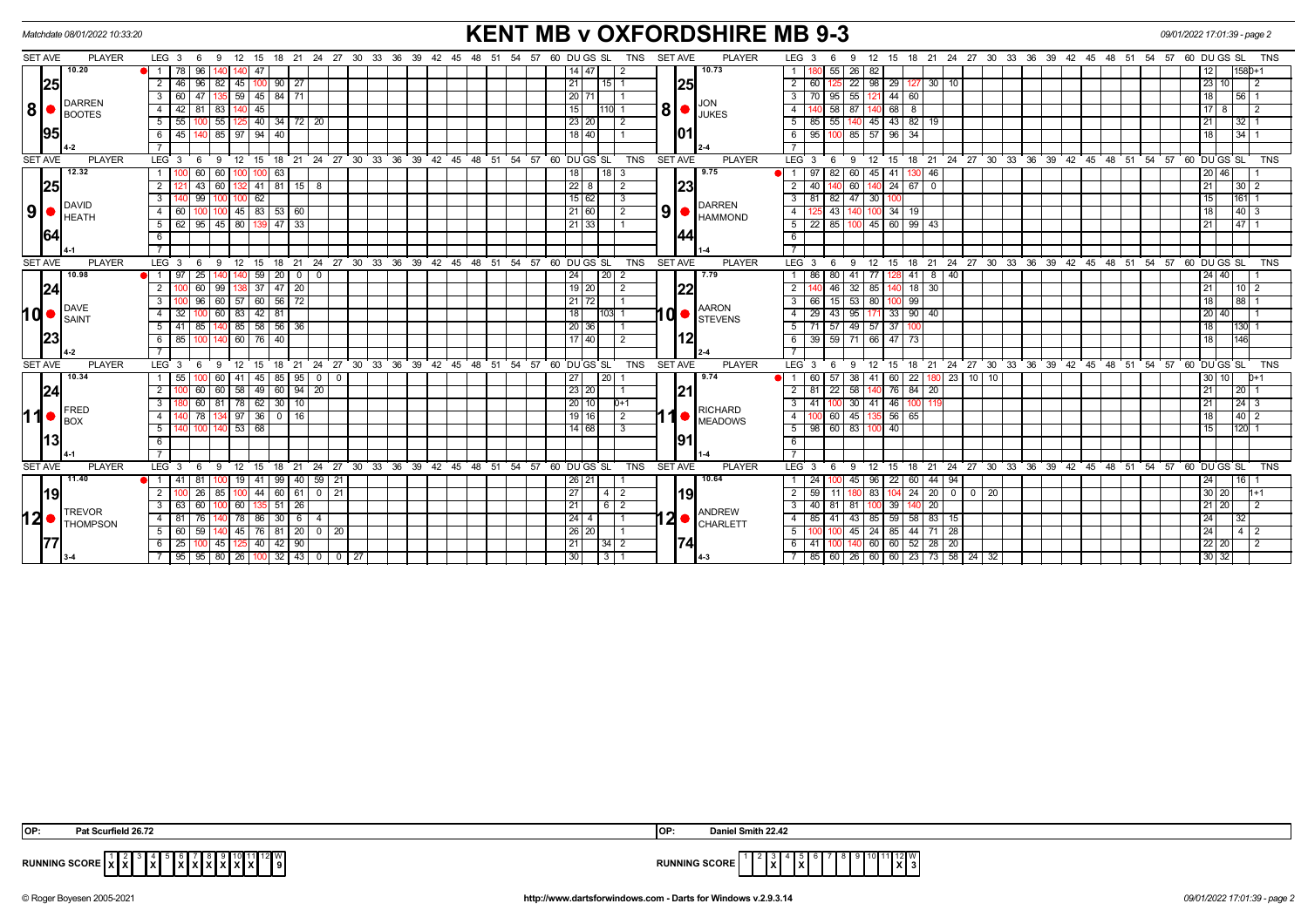|                |                | Matchdate 08/01/2022 10:33:20 |                                |                |                 |          |                           |               |                |                                                   |                        |                 |                |       |    |                               |             |                      |             |                  |                |             | <b>KENT MB v OXFORDSHIRE MB 9-3</b> |                                         |                       |                 |                                 |              |                                            |  |                                     |         | 09/01/2022 17:01:39 - page 2                 |  |                 |                        |                |  |  |
|----------------|----------------|-------------------------------|--------------------------------|----------------|-----------------|----------|---------------------------|---------------|----------------|---------------------------------------------------|------------------------|-----------------|----------------|-------|----|-------------------------------|-------------|----------------------|-------------|------------------|----------------|-------------|-------------------------------------|-----------------------------------------|-----------------------|-----------------|---------------------------------|--------------|--------------------------------------------|--|-------------------------------------|---------|----------------------------------------------|--|-----------------|------------------------|----------------|--|--|
|                | <b>SET AVE</b> | <b>PLAYER</b>                 | LEG <sub>3</sub>               | - 6            | 9               | 12<br>15 | 18                        | 21 24         |                | 27 30 33 36 39                                    |                        | 42              | 45             | 48 51 |    | 54 57                         | 60 DU GS SL |                      |             | TNS              | <b>SET AVE</b> |             | <b>PLAYER</b>                       | LEG <sub>3</sub><br>-6                  | -9                    | 12              | 15                              |              |                                            |  | 18 21 24 27 30 33 36 39 42 45       | 48 51   | 54 57                                        |  | 60 DU GS SL     |                        | <b>TNS</b>     |  |  |
|                |                | 10.20                         | $\blacksquare$                 | 96             |                 |          |                           |               |                |                                                   |                        |                 |                |       |    |                               |             | $14 \mid 47$         |             |                  |                |             | 10.73                               | 551<br>$\mathbf{1}$                     | 26                    | 82              |                                 |              |                                            |  |                                     |         |                                              |  | 12 I            |                        | 1580+1         |  |  |
|                | 25             |                               | 2                              | 46   96        | 82              |          | $45$ 100 90 27            |               |                |                                                   |                        |                 |                |       |    |                               |             | 21                   | $15$   1    |                  |                | 25          |                                     | 2 <sup>1</sup><br>60                    | $\overline{22}$       | - 98            | 29 127 30 10                    |              |                                            |  |                                     |         |                                              |  | 23 10           |                        | $\overline{2}$ |  |  |
|                |                | <b>DARREN</b>                 | $\overline{3}$                 |                |                 | 59       | 45 84 71                  |               |                |                                                   |                        |                 |                |       |    |                               |             | 20                   |             |                  |                |             |                                     | $\overline{3}$<br>95                    | 55                    |                 | 44<br>60                        |              |                                            |  |                                     |         |                                              |  | 18 <sup>1</sup> | 56   1                 |                |  |  |
| 8 •            |                | <b>BOOTES</b>                 | $\overline{4}$                 | 42   81        | 83              | 45       |                           |               |                |                                                   |                        |                 |                |       |    |                               |             | 15                   | 10I 1       |                  | 8              |             | <b>JON</b><br>JUKES                 | $\overline{4}$                          | 87<br>58 <sub>1</sub> |                 | 68 8                            |              |                                            |  |                                     |         |                                              |  | 17 I 8          |                        |                |  |  |
|                |                |                               | 5<br>55                        |                | $100$ 55        |          | 125 40 34 72 20           |               |                |                                                   |                        |                 |                |       |    |                               |             | 23 20                |             | 2                |                | <b>1011</b> |                                     | 5<br>85<br>551                          | 140                   | 45              | 43 82 19                        |              |                                            |  |                                     |         |                                              |  | 21              | 32 I                   |                |  |  |
|                | 95             |                               | - 6<br>45 I                    |                | 140 85 97 94 40 |          |                           |               |                |                                                   |                        |                 |                |       |    |                               |             | 18 40                |             |                  |                |             |                                     | 6<br>95                                 |                       |                 | 85 57 96 34                     |              |                                            |  |                                     |         |                                              |  | 18 I            | 34 I 1                 |                |  |  |
|                |                |                               |                                |                |                 |          |                           |               |                |                                                   |                        |                 |                |       |    |                               |             |                      |             |                  |                |             |                                     |                                         |                       |                 |                                 |              |                                            |  |                                     |         |                                              |  |                 |                        |                |  |  |
|                | <b>SET AVE</b> | <b>PLAYER</b>                 | $LEG$ 3                        |                | 9               | 12<br>15 | 18                        | $^{\circ}$ 21 |                | $24$ 27 30 33 36                                  | $\degree$ 39 $\degree$ |                 | $142$ 45 48 51 |       |    | $54$ $57$ $60$ $DU$ $GS$ $SL$ |             |                      |             | <b>TNS</b>       | <b>SET AVE</b> |             | <b>PLAYER</b>                       | $LEG$ 3<br>- 6                          | 9                     | 12              | 18<br>15                        |              |                                            |  | 21 24 27 30 33 36 39 42 45          | $48$ 51 | $54$ 57 60 DUGS SL                           |  |                 |                        | <b>TNS</b>     |  |  |
|                |                | 12.32                         | $\mathbf{1}$                   | 60             | 60              |          | 63                        |               |                |                                                   |                        |                 |                |       |    |                               |             | 18                   | $18$   3    |                  |                |             | 9.75                                | 82 <sub>1</sub>                         | 60                    | 45              | $-41$                           | 130 46       |                                            |  |                                     |         |                                              |  | 20146           |                        |                |  |  |
|                | 25             |                               | $\overline{2}$                 | 43             | 60              |          | $41 \ 81$                 | 15 I 8        |                |                                                   |                        |                 |                |       |    |                               |             | $\overline{22}$<br>8 |             | $\overline{2}$   |                | 23          |                                     | $\overline{2}$<br>40                    | 60                    |                 | $24 \overline{67} \overline{0}$ |              |                                            |  |                                     |         |                                              |  | 211             | 30   2                 |                |  |  |
|                |                | <b>DAVID</b><br><b>HEATH</b>  | $\overline{\cdot \cdot \cdot}$ | 99             |                 | 62       |                           |               |                |                                                   |                        |                 |                |       |    |                               |             | 15 62                |             | $\overline{3}$   |                | 44          | <b>DARREN</b>                       | $3 \overline{81}$                       | 82 47 30              |                 |                                 |              |                                            |  |                                     |         |                                              |  |                 | $161$ 1                |                |  |  |
| 9 <sup>1</sup> |                |                               | $\overline{4}$<br>60           |                |                 |          | $45 \mid 83 \mid 53 \mid$ | 60            |                |                                                   |                        |                 |                |       |    |                               |             | $21$ 60              |             | $\overline{2}$   | 9 <sup>1</sup> |             | HAMMOND                             | $\overline{4}$<br>43                    | 140                   |                 | $\overline{34}$<br>19           |              |                                            |  |                                     |         |                                              |  | 18 <sup>1</sup> | $\sqrt{40}$ 3          |                |  |  |
|                |                |                               | 5                              |                |                 |          | 62 95 45 80 139 47 33     |               |                |                                                   |                        |                 |                |       |    |                               |             | $21$ 33              |             |                  |                |             |                                     | 5<br>$\overline{22}$                    |                       |                 | 85 100 45 60 99 43              |              |                                            |  |                                     |         |                                              |  | 21              | $147$ 1                |                |  |  |
|                | 64             |                               | 6                              |                |                 |          |                           |               |                |                                                   |                        |                 |                |       |    |                               |             |                      |             |                  |                |             |                                     | 6                                       |                       |                 |                                 |              |                                            |  |                                     |         |                                              |  |                 |                        |                |  |  |
|                |                |                               |                                |                |                 |          |                           |               |                |                                                   |                        |                 |                |       |    |                               |             |                      |             |                  |                |             |                                     | $\overline{7}$                          |                       |                 |                                 |              |                                            |  |                                     |         |                                              |  |                 |                        |                |  |  |
|                | <b>SET AVE</b> | <b>PLAYER</b>                 | LEG <sup>3</sup>               | - 6            | 9               | 12<br>15 | ີ 18                      |               |                | $21 \quad 24 \quad 27 \quad 30 \quad 33 \quad 36$ |                        | 39 <sup>°</sup> |                |       |    | 42 45 48 51 54 57 60 DUGS SL  |             |                      |             | <b>TNS</b>       | <b>SET AVE</b> |             | <b>PLAYER</b>                       | LEG <sub>3</sub><br>- 6                 | 9                     | ີ 12            |                                 |              |                                            |  |                                     |         | 15 18 21 24 27 30 33 36 39 42 45 48 51 54 57 |  | 60 DU GS SL     |                        | <b>TNS</b>     |  |  |
|                |                | 10.98<br><b>DAVE</b><br>SAINT | $\blacksquare$<br>97           | 25             |                 | 59       | $\sqrt{20}$               | $\circ$ 1     | $\mathbf{0}$   |                                                   |                        |                 |                |       |    |                               |             | 24                   | $20$   2    |                  |                |             | 17.79                               | 86                                      | 41                    | 77              | 41                              | 8            | 40                                         |  |                                     |         |                                              |  | 24   40         |                        |                |  |  |
|                | 24             |                               |                                | 60             | 99              |          | $37$ 47                   | 20            |                |                                                   |                        |                 |                |       |    |                               |             | 19 20                |             | $\overline{2}$   |                | 22          |                                     | $\overline{2}$<br>46                    | 32                    | 85              | 18                              | 30           |                                            |  |                                     |         |                                              |  | 211             | $10$   2               |                |  |  |
|                |                |                               | $\overline{\mathbf{3}}$        | 96             | 60              |          | 57 60 56 72               |               |                |                                                   |                        |                 |                |       |    |                               |             | 21 72                |             |                  |                |             | <b>AARON</b>                        | 3<br>66                                 | $15 \ 53$             | 80              | 99                              |              |                                            |  |                                     |         |                                              |  | 18 <sup>1</sup> | 88 T                   |                |  |  |
| <b>d</b>       |                |                               | $\overline{4}$<br>32           |                | 60              | 42<br>83 | 81                        |               |                |                                                   |                        |                 |                |       |    |                               |             | 18                   | $03$ 1      |                  | 10 ●           |             | <b>STEVENS</b>                      | $\overline{4}$<br>29<br>43 <sup>1</sup> | 95                    |                 | 33 <sup>1</sup>                 | $90 \mid 40$ |                                            |  |                                     |         |                                              |  | 20140           |                        |                |  |  |
|                |                |                               | 5                              | $41$ 85        |                 |          | 85 58 56 36               |               |                |                                                   |                        |                 |                |       |    |                               |             | 20 36                |             |                  |                |             |                                     | $5 \vert$<br>71<br>-57 I                |                       | $49$ 57         | 37<br>100                       |              |                                            |  |                                     |         |                                              |  | 18 I            | 130L 1                 |                |  |  |
|                | 23             |                               | $6\overline{6}$<br>85          |                |                 | $60$ 76  | 40                        |               |                |                                                   |                        |                 |                |       |    |                               |             | 17 40                |             |                  |                | 12          |                                     | 39<br>$6\overline{6}$                   | 59 71 66              |                 | 73<br>47                        |              |                                            |  |                                     |         |                                              |  | 18 <sup>1</sup> |                        |                |  |  |
|                |                |                               |                                |                |                 |          |                           |               |                |                                                   |                        |                 |                |       |    |                               |             |                      |             |                  |                |             |                                     | $\overline{7}$                          |                       |                 |                                 |              |                                            |  |                                     |         |                                              |  |                 |                        |                |  |  |
|                | <b>SET AVE</b> | <b>PLAYER</b>                 | LEG <sub>3</sub>               | - 6            | -9              | 12<br>15 | 18                        |               |                | 21 24 27 30 33 36 39                              |                        |                 | 42 45 48       |       | 51 | 54<br>57                      | 60 DU GS SL |                      |             | <b>TNS</b>       | <b>SET AVE</b> |             | <b>PLAYER</b>                       | LEG <sub>3</sub><br>- 6                 | -9                    | 12              | - 15                            |              |                                            |  | 18 21 24 27 30 33 36 39 42 45 48 51 |         | 54 57                                        |  | 60 DUGS SL      |                        | <b>TNS</b>     |  |  |
|                |                | 10.34                         |                                |                | 60              | 45<br>41 | 85                        | 95   0        | $\overline{0}$ |                                                   |                        |                 |                |       |    |                               |             | 27                   | 20          |                  |                |             | 9.74                                | 60<br>57                                | 38                    | 41              | 22<br>-60 I                     | 180          | $23$ 10 10                                 |  |                                     |         |                                              |  | 30   10         |                        | $D+1$          |  |  |
|                | 24             |                               | 2                              | 60             | 60              |          | $58$ 49 60 94 20          |               |                |                                                   |                        |                 |                |       |    |                               |             | 23 20                |             | $\overline{1}$ 1 |                | 21          |                                     | 2 <sup>1</sup><br>81<br>22              | 58                    | 140             | 76 84 20                        |              |                                            |  |                                     |         |                                              |  | 21              | $\vert 20 \vert 1$     |                |  |  |
|                |                | FRED                          | $\overline{3}$                 | 60             | 81              |          | 78 62 30                  | 10            |                |                                                   |                        |                 |                |       |    |                               |             | 20 10                |             | $D+1$            |                |             | <b>RICHARD</b>                      | $3 \mid 41$                             |                       | $30 \quad 41$   | 46 T<br>100                     |              |                                            |  |                                     |         |                                              |  | 21              | $\vert 24 \vert 3$     |                |  |  |
| ∣1             |                | <b>BOX</b>                    | $\overline{4}$                 | 78             |                 |          | 97 36 0 16                |               |                |                                                   |                        |                 |                |       |    |                               |             | 19 16                |             | $\overline{12}$  | 11             |             | <b>MEADOWS</b>                      | $\overline{4}$                          | 60 45                 |                 | 56 65                           |              |                                            |  |                                     |         |                                              |  | 18 <sup>1</sup> | 40 2                   |                |  |  |
|                |                |                               | 5                              |                |                 | 53   68  |                           |               |                |                                                   |                        |                 |                |       |    |                               |             | 14   68              |             | l 3              |                |             |                                     | $5 \mid 98$                             | 60 83                 |                 | 40                              |              |                                            |  |                                     |         |                                              |  | 15 <sup>1</sup> | $120$   1              |                |  |  |
|                | l13l           |                               | 6                              |                |                 |          |                           |               |                |                                                   |                        |                 |                |       |    |                               |             |                      |             |                  |                | 91          |                                     | 6                                       |                       |                 |                                 |              |                                            |  |                                     |         |                                              |  |                 |                        |                |  |  |
|                |                |                               | $\overline{7}$                 |                |                 |          |                           |               |                |                                                   |                        |                 |                |       |    |                               |             |                      |             |                  |                |             |                                     | $\overline{7}$                          |                       |                 |                                 |              |                                            |  |                                     |         |                                              |  |                 |                        |                |  |  |
|                | <b>SET AVE</b> | <b>PLAYER</b>                 | LEG <sub>3</sub>               |                | -9              | 12<br>15 | 18                        | 21            | 24             | 27 30 33 36 39 42 45 48 51                        |                        |                 |                |       |    | $54$ 57 60 DUGS SL            |             |                      |             | <b>TNS</b>       | <b>SET AVE</b> |             | <b>PLAYER</b>                       | LEG <sub>3</sub><br>- 6                 | - 9                   | 12              | 15<br>18                        | 21           |                                            |  |                                     |         | 24 27 30 33 36 39 42 45 48 51 54 57          |  |                 |                        | 60 DUGS SL TNS |  |  |
|                |                | 11.40                         | 11                             |                |                 |          | 99                        | 40            | 59<br>-21      |                                                   |                        |                 |                |       |    |                               |             | 26 2                 |             |                  |                |             | 10.64                               |                                         |                       | 96              | 60                              | 44           | 94                                         |  |                                     |         |                                              |  | 24              | 16 I                   |                |  |  |
|                | <u> 19</u>     |                               | $\overline{2}$                 | 26             | 85              |          | $100$ 44 60 61 0 21       |               |                |                                                   |                        |                 |                |       |    |                               |             | 27                   | 4   2       |                  | 119            |             |                                     | $\overline{2}$<br>59                    | 11 I                  | 180 83          | 104 24 20                       |              |                                            |  |                                     |         |                                              |  | 30 20           |                        | $h+1$          |  |  |
|                |                | <b>TREVOR</b>                 | 3<br>63                        | 60             |                 | 60       | 51                        | 26            |                |                                                   |                        |                 |                |       |    |                               |             | $\overline{21}$      | $6 \mid 2$  |                  |                |             | <b>ANDREW</b>                       | $\mathbf{3}$<br>40                      | 81                    |                 | 39                              | 20           |                                            |  |                                     |         |                                              |  | 21   20         |                        |                |  |  |
|                | I2 ●           | <b>THOMPSON</b>               | $\overline{4}$<br>-81          | 76             |                 | 78       | 86 30                     | - 6 I         | 4              |                                                   |                        |                 |                |       |    |                               |             | 24 <br>4             |             | $\overline{1}$   |                |             | 12 CHARLETT                         | $\overline{4}$<br>85<br>41 I            | 43                    | 85              | 59 58 83                        |              | 15                                         |  |                                     |         |                                              |  | 24              | 32                     |                |  |  |
|                |                |                               | 5<br>60                        | 59             |                 | 45<br>76 | 81                        |               | 20 0 20        |                                                   |                        |                 |                |       |    |                               |             | 26 20                |             |                  |                |             |                                     | 5                                       | 45                    | $\overline{24}$ | 44<br>85                        | 71           | 28                                         |  |                                     |         |                                              |  | 24              | $\boldsymbol{\Lambda}$ |                |  |  |
|                | <u>1771</u>    |                               | 6<br>$25 \mid$                 |                | 45              |          | $125$ 40 42 90            |               |                |                                                   |                        |                 |                |       |    |                               |             | 21                   | $34 \mid 2$ |                  |                | 74          |                                     | $6 \mid 41$                             |                       | 140 60          | $60$ 52 28                      |              | 20                                         |  |                                     |         |                                              |  | $22$ 20         |                        |                |  |  |
|                |                |                               |                                | $95$   95   80 |                 |          | 26 100 32 43 001          |               |                | 27                                                |                        |                 |                |       |    |                               |             | 30                   | $3 \mid 1$  |                  |                |             |                                     | 7 85                                    |                       |                 |                                 |              | 60   26   60   60   23   73   58   24   32 |  |                                     |         |                                              |  | 30 32           |                        |                |  |  |

| urfield 26.72:<br><b>OP</b><br>Dot S | IOP:<br>Daniel Smith 22.42                                                                                                         |
|--------------------------------------|------------------------------------------------------------------------------------------------------------------------------------|
| RUNNING SCORE XX<br>.<br>.           | 112 W<br><b>RUNNING SCORE</b><br>.<br>$\overline{\phantom{a}}$<br>$\overline{\phantom{a}}$<br>$\overline{\phantom{a}}$<br>.<br>. . |